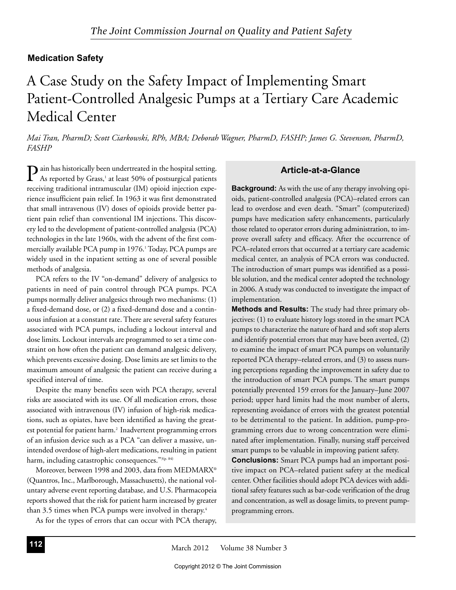## **Medication Safety**

# A Case Study on the Safety Impact of Implementing Smart Patient-Controlled Analgesic Pumps at a Tertiary Care Academic **Medical Center**

Mai Tran, PharmD; Scott Ciarkowski, RPh, MBA; Deborah Wagner, PharmD, FASHP; James G. Stevenson, PharmD, FASHP

 $\sum$  ain has historically been undertreated in the hospital setting.<br>As reported by Greenland Line 100% As reported by Grass,<sup>1</sup> at least 50% of postsurgical patients receiving traditional intramuscular (IM) opioid injection experience insufficient pain relief. In 1963 it was first demonstrated that small intravenous (IV) doses of opioids provide better patient pain relief than conventional IM injections. This discovery led to the development of patient-controlled analgesia (PCA) technologies in the late 1960s, with the advent of the first commercially available PCA pump in 1976.<sup>1</sup> Today, PCA pumps are widely used in the inpatient setting as one of several possible methods of analgesia.

PCA refers to the IV "on-demand" delivery of analgesics to patients in need of pain control through PCA pumps. PCA pumps normally deliver analgesics through two mechanisms: (1) a fixed-demand dose, or (2) a fixed-demand dose and a continuous infusion at a constant rate. There are several safety features associated with PCA pumps, including a lockout interval and dose limits. Lockout intervals are programmed to set a time constraint on how often the patient can demand analgesic delivery, which prevents excessive dosing. Dose limits are set limits to the maximum amount of analgesic the patient can receive during a specified interval of time.

Despite the many benefits seen with PCA therapy, several risks are associated with its use. Of all medication errors, those associated with intravenous (IV) infusion of high-risk medications, such as opiates, have been identified as having the greatest potential for patient harm.<sup>2</sup> Inadvertent programming errors of an infusion device such as a PCA "can deliver a massive, unintended overdose of high-alert medications, resulting in patient harm, including catastrophic consequences."<sup>3(p. 84)</sup>

Moreover, between 1998 and 2003, data from MEDMARX® (Quantros, Inc., Marlborough, Massachusetts), the national voluntary adverse event reporting database, and U.S. Pharmacopeia reports showed that the risk for patient harm increased by greater than 3.5 times when PCA pumps were involved in therapy.<sup>4</sup>

As for the types of errors that can occur with PCA therapy,

## Article-at-a-Glance

**Background:** As with the use of any therapy involving opioids, patient-controlled analgesia (PCA)-related errors can lead to overdose and even death. "Smart" (computerized) pumps have medication safety enhancements, particularly those related to operator errors during administration, to improve overall safety and efficacy. After the occurrence of PCA-related errors that occurred at a tertiary care academic medical center, an analysis of PCA errors was conducted. The introduction of smart pumps was identified as a possible solution, and the medical center adopted the technology in 2006. A study was conducted to investigate the impact of implementation.

**Methods and Results:** The study had three primary objectives: (1) to evaluate history logs stored in the smart PCA pumps to characterize the nature of hard and soft stop alerts and identify potential errors that may have been averted, (2) to examine the impact of smart PCA pumps on voluntarily reported PCA therapy-related errors, and (3) to assess nursing perceptions regarding the improvement in safety due to the introduction of smart PCA pumps. The smart pumps potentially prevented 159 errors for the January-June 2007 period; upper hard limits had the most number of alerts, representing avoidance of errors with the greatest potential to be detrimental to the patient. In addition, pump-programming errors due to wrong concentration were eliminated after implementation. Finally, nursing staff perceived smart pumps to be valuable in improving patient safety.

**Conclusions:** Smart PCA pumps had an important positive impact on PCA-related patient safety at the medical center. Other facilities should adopt PCA devices with additional safety features such as bar-code verification of the drug and concentration, as well as dosage limits, to prevent pumpprogramming errors.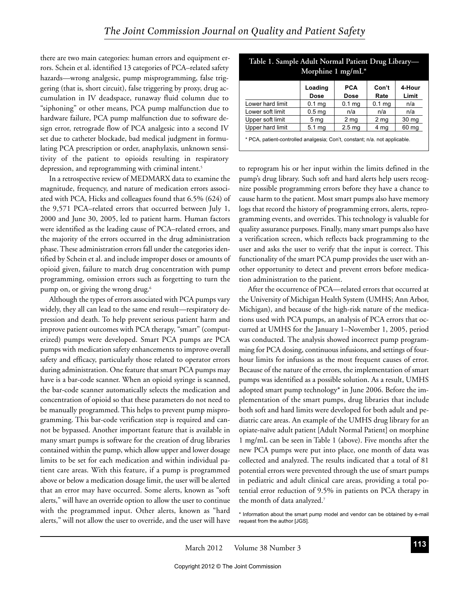there are two main categories: human errors and equipment errors. Schein et al. identified 13 categories of PCA-related safety hazards—wrong analgesic, pump misprogramming, false triggering (that is, short circuit), false triggering by proxy, drug accumulation in IV deadspace, runaway fluid column due to "siphoning" or other means, PCA pump malfunction due to hardware failure, PCA pump malfunction due to software design error, retrograde flow of PCA analgesic into a second IV set due to catheter blockade, bad medical judgment in formulating PCA prescription or order, anaphylaxis, unknown sensitivity of the patient to opioids resulting in respiratory depression, and reprogramming with criminal intent.<sup>5</sup>

In a retrospective review of MEDMARX data to examine the magnitude, frequency, and nature of medication errors associated with PCA, Hicks and colleagues found that 6.5% (624) of the 9,571 PCA–related errors that occurred between July 1, 2000 and June 30, 2005, led to patient harm. Human factors were identified as the leading cause of PCA–related errors, and the majority of the errors occurred in the drug administration phase. These administration errors fall under the categories identified by Schein et al. and include improper doses or amounts of opioid given, failure to match drug concentration with pump programming, omission errors such as forgetting to turn the pump on, or giving the wrong drug.<sup>6</sup>

Although the types of errors associated with PCA pumps vary widely, they all can lead to the same end result—respiratory depression and death. To help prevent serious patient harm and improve patient outcomes with PCA therapy, "smart" (computerized) pumps were developed. Smart PCA pumps are PCA pumps with medication safety enhancements to improve overall safety and efficacy, particularly those related to operator errors during administration. One feature that smart PCA pumps may have is a bar-code scanner. When an opioid syringe is scanned, the bar-code scanner automatically selects the medication and concentration of opioid so that these parameters do not need to be manually programmed. This helps to prevent pump misprogramming. This bar-code verification step is required and cannot be bypassed. Another important feature that is available in many smart pumps is software for the creation of drug libraries contained within the pump, which allow upper and lower dosage limits to be set for each medication and within individual patient care areas. With this feature, if a pump is programmed above or below a medication dosage limit, the user will be alerted that an error may have occurred. Some alerts, known as "soft alerts," will have an override option to allow the user to continue with the programmed input. Other alerts, known as "hard alerts," will not allow the user to override, and the user will have

|                  | Loading<br><b>Dose</b> | <b>PCA</b><br>Dose | Con't<br>Rate     | 4-Hour<br>Limit  |
|------------------|------------------------|--------------------|-------------------|------------------|
| Lower hard limit | 0.1 <sub>mg</sub>      | $0.1$ mg           | 0.1 <sub>mg</sub> | n/a              |
| Lower soft limit | 0.5 <sub>mg</sub>      | n/a                | n/a               | n/a              |
| Upper soft limit | 5 <sub>mq</sub>        | 2 mg               | 2 mg              | 30 <sub>mg</sub> |
| Upper hard limit | $5.1 \text{ mg}$       | 2.5 <sub>mg</sub>  | 4 mg              | 60 mg            |

Table 1. Sample Adult Normal Patient Drug Library

patient-controlled analge :`on't. constant: n/a. not apı

to reprogram his or her input within the limits defined in the pump's drug library. Such soft and hard alerts help users recognize possible programming errors before they have a chance to cause harm to the patient. Most smart pumps also have memory logs that record the history of programming errors, alerts, reprogramming events, and overrides. This technology is valuable for quality assurance purposes. Finally, many smart pumps also have a verification screen, which reflects back programming to the user and asks the user to verify that the input is correct. This functionality of the smart PCA pump provides the user with another opportunity to detect and prevent errors before medication administration to the patient.

After the occurrence of PCA-related errors that occurred at the University of Michigan Health System (UMHS; Ann Arbor, Michigan), and because of the high-risk nature of the medications used with PCA pumps, an analysis of PCA errors that occurred at UMHS for the January 1-November 1, 2005, period was conducted. The analysis showed incorrect pump programming for PCA dosing, continuous infusions, and settings of fourhour limits for infusions as the most frequent causes of error. Because of the nature of the errors, the implementation of smart pumps was identified as a possible solution. As a result, UMHS adopted smart pump technology\* in June 2006. Before the implementation of the smart pumps, drug libraries that include both soft and hard limits were developed for both adult and pediatric care areas. An example of the UMHS drug library for an opiate-naïve adult patient [Adult Normal Patient] on morphine 1 mg/mL can be seen in Table 1 (above). Five months after the new PCA pumps were put into place, one month of data was collected and analyzed. The results indicated that a total of 81 potential errors were prevented through the use of smart pumps in pediatric and adult clinical care areas, providing a total potential error reduction of 9.5% in patients on PCA therapy in the month of data analyzed.7

<sup>\*</sup> Information about the smart pump model and vendor can be obtained by e-mail request from the author [JGS]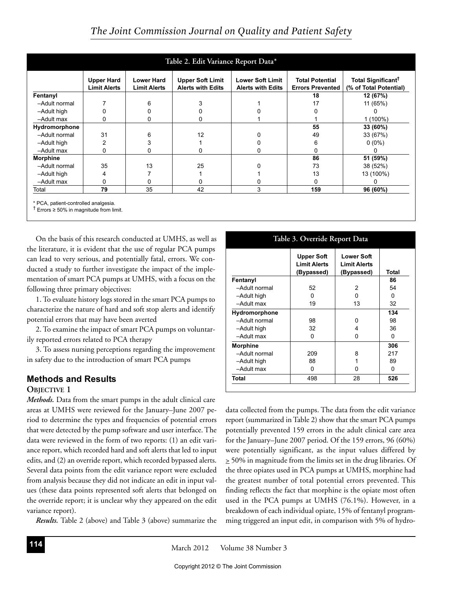| Table 2. Edit Variance Report Data* |                                          |                                                                                                                                                        |    |                                                   |                                                          |           |  |  |
|-------------------------------------|------------------------------------------|--------------------------------------------------------------------------------------------------------------------------------------------------------|----|---------------------------------------------------|----------------------------------------------------------|-----------|--|--|
|                                     | <b>Upper Hard</b><br><b>Limit Alerts</b> | <b>Upper Soft Limit</b><br><b>Lower Soft Limit</b><br><b>Lower Hard</b><br><b>Alerts with Edits</b><br><b>Limit Alerts</b><br><b>Alerts with Edits</b> |    | <b>Total Potential</b><br><b>Errors Prevented</b> | Total Significant <sup>†</sup><br>(% of Total Potential) |           |  |  |
| Fentanyl                            |                                          |                                                                                                                                                        |    |                                                   | 18                                                       | 12 (67%)  |  |  |
| -Adult normal                       |                                          | 6                                                                                                                                                      |    |                                                   | 17                                                       | 11 (65%)  |  |  |
| -Adult high                         | 0                                        |                                                                                                                                                        |    |                                                   |                                                          |           |  |  |
| -Adult max                          | 0                                        |                                                                                                                                                        | O  |                                                   |                                                          | 1 (100%)  |  |  |
| Hydromorphone                       |                                          |                                                                                                                                                        |    |                                                   | 55                                                       | 33 (60%)  |  |  |
| -Adult normal                       | 31                                       | հ                                                                                                                                                      | 12 |                                                   | 49                                                       | 33 (67%)  |  |  |
| -Adult high                         | 2                                        |                                                                                                                                                        |    |                                                   | 6                                                        | $0(0\%)$  |  |  |
| -Adult max                          | 0                                        |                                                                                                                                                        |    |                                                   |                                                          |           |  |  |
| <b>Morphine</b>                     |                                          |                                                                                                                                                        |    |                                                   | 86                                                       | 51 (59%)  |  |  |
| -Adult normal                       | 35                                       | 13                                                                                                                                                     | 25 |                                                   | 73                                                       | 38 (52%)  |  |  |
| -Adult high                         | 4                                        |                                                                                                                                                        |    |                                                   | 13                                                       | 13 (100%) |  |  |
| -Adult max                          | 0                                        |                                                                                                                                                        |    |                                                   |                                                          |           |  |  |
| Total                               | 79                                       | 35                                                                                                                                                     | 42 | 3                                                 | 159                                                      | 96 (60%)  |  |  |

\* PCA, patient-controlled analgesia.

 $\dagger$  Errors  $\geq 50\%$  in magnitude from limit.

On the basis of this research conducted at UMHS, as well as the literature, it is evident that the use of regular PCA pumps can lead to very serious, and potentially fatal, errors. We conducted a study to further investigate the impact of the implementation of smart PCA pumps at UMHS, with a focus on the following three primary objectives:

1. To evaluate history logs stored in the smart PCA pumps to characterize the nature of hard and soft stop alerts and identify potential errors that may have been averted

2. To examine the impact of smart PCA pumps on voluntarily reported errors related to PCA therapy

3. To assess nursing perceptions regarding the improvement in safety due to the introduction of smart PCA pumps

#### **Methods and Results**

#### **OBJECTIVE 1**

Methods. Data from the smart pumps in the adult clinical care areas at UMHS were reviewed for the January-June 2007 period to determine the types and frequencies of potential errors that were detected by the pump software and user interface. The data were reviewed in the form of two reports: (1) an edit variance report, which recorded hard and soft alerts that led to input edits, and (2) an override report, which recorded bypassed alerts. Several data points from the edit variance report were excluded from analysis because they did not indicate an edit in input values (these data points represented soft alerts that belonged on the override report; it is unclear why they appeared on the edit variance report).

*Results*. Table 2 (above) and Table 3 (above) summarize the

#### Table 3. Override Report Data

|                 | <b>Upper Soft</b><br><b>Limit Alerts</b> | <b>Lower Soft</b><br><b>Limit Alerts</b> |       |
|-----------------|------------------------------------------|------------------------------------------|-------|
|                 | (Bypassed)                               | (Bypassed)                               | Total |
| Fentanyl        |                                          |                                          | 86    |
| -Adult normal   | 52                                       | 2                                        | 54    |
| -Adult high     | O                                        | O                                        | U     |
| -Adult max      | 19                                       | 13                                       | 32    |
| Hydromorphone   |                                          |                                          | 134   |
| -Adult normal   | 98                                       | ŋ                                        | 98    |
| -Adult high     | 32                                       | 4                                        | 36    |
| -Adult max      | U                                        | n                                        | O     |
| <b>Morphine</b> |                                          |                                          | 306   |
| -Adult normal   | 209                                      | 8                                        | 217   |
| -Adult high     | 88                                       |                                          | 89    |
| -Adult max      | U                                        | n                                        | U     |
| Total           | 498                                      | 28                                       | 526   |

data collected from the pumps. The data from the edit variance report (summarized in Table 2) show that the smart PCA pumps potentially prevented 159 errors in the adult clinical care area for the January–June 2007 period. Of the 159 errors, 96 (60%) were potentially significant, as the input values differed by  $\geq$  50% in magnitude from the limits set in the drug libraries. Of the three opiates used in PCA pumps at UMHS, morphine had the greatest number of total potential errors prevented. This finding reflects the fact that morphine is the opiate most often used in the PCA pumps at UMHS (76.1%). However, in a breakdown of each individual opiate, 15% of fentanyl programming triggered an input edit, in comparison with 5% of hydro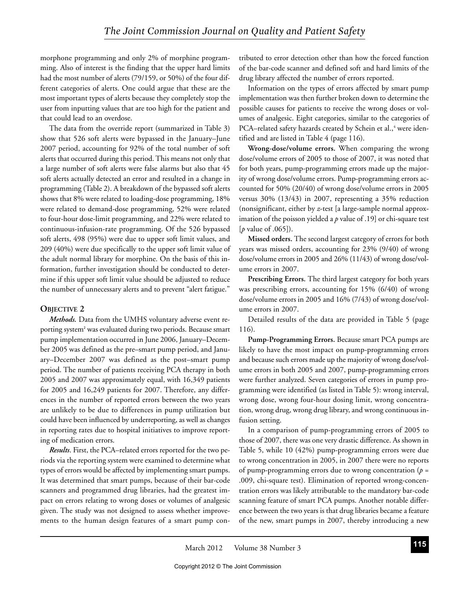morphone programming and only 2% of morphine programming. Also of interest is the finding that the upper hard limits had the most number of alerts (79/159, or 50%) of the four different categories of alerts. One could argue that these are the most important types of alerts because they completely stop the user from inputting values that are too high for the patient and that could lead to an overdose.

The data from the override report (summarized in Table 3) show that 526 soft alerts were bypassed in the January–June 2007 period, accounting for 92% of the total number of soft alerts that occurred during this period. This means not only that a large number of soft alerts were false alarms but also that 45 soft alerts actually detected an error and resulted in a change in programming (Table 2). A breakdown of the bypassed soft alerts shows that 8% were related to loading-dose programming, 18% were related to demand-dose programming, 52% were related to four-hour dose-limit programming, and 22% were related to continuous-infusion-rate programming. Of the 526 bypassed soft alerts, 498 (95%) were due to upper soft limit values, and 209 (40%) were due specifically to the upper soft limit value of the adult normal library for morphine. On the basis of this information, further investigation should be conducted to determine if this upper soft limit value should be adjusted to reduce the number of unnecessary alerts and to prevent "alert fatigue."

## **OBJECTIVE 2**

Methods. Data from the UMHS voluntary adverse event reporting system<sup>2</sup> was evaluated during two periods. Because smart pump implementation occurred in June 2006, January-December 2005 was defined as the pre–smart pump period, and January-December 2007 was defined as the post-smart pump period. The number of patients receiving PCA therapy in both 2005 and 2007 was approximately equal, with 16,349 patients for 2005 and 16,249 patients for 2007. Therefore, any differences in the number of reported errors between the two years are unlikely to be due to differences in pump utilization but could have been influenced by underreporting, as well as changes in reporting rates due to hospital initiatives to improve reporting of medication errors.

Results. First, the PCA-related errors reported for the two periods via the reporting system were examined to determine what types of errors would be affected by implementing smart pumps. It was determined that smart pumps, because of their bar-code scanners and programmed drug libraries, had the greatest impact on errors relating to wrong doses or volumes of analgesic given. The study was not designed to assess whether improvements to the human design features of a smart pump con-

tributed to error detection other than how the forced function of the bar-code scanner and defined soft and hard limits of the drug library affected the number of errors reported.

Information on the types of errors affected by smart pump implementation was then further broken down to determine the possible causes for patients to receive the wrong doses or volumes of analgesic. Eight categories, similar to the categories of PCA-related safety hazards created by Schein et al.,<sup>4</sup> were identified and are listed in Table 4 (page 116).

Wrong-dose/volume errors. When comparing the wrong dose/volume errors of 2005 to those of 2007, it was noted that for both years, pump-programming errors made up the majority of wrong dose/volume errors. Pump-programming errors accounted for 50% (20/40) of wrong dose/volume errors in 2005 versus 30% (13/43) in 2007, representing a 35% reduction (nonsignificant, either by z-test [a large-sample normal approximation of the poisson yielded a  $p$  value of .19] or chi-square test [p value of .065]).

Missed orders. The second largest category of errors for both years was missed orders, accounting for 23% (9/40) of wrong dose/volume errors in 2005 and 26% (11/43) of wrong dose/volume errors in 2007.

Prescribing Errors. The third largest category for both years was prescribing errors, accounting for 15% (6/40) of wrong dose/volume errors in 2005 and 16% (7/43) of wrong dose/volume errors in 2007.

Detailed results of the data are provided in Table 5 (page 116).

Pump-Programming Errors. Because smart PCA pumps are likely to have the most impact on pump-programming errors and because such errors made up the majority of wrong dose/volume errors in both 2005 and 2007, pump-programming errors were further analyzed. Seven categories of errors in pump programming were identified (as listed in Table 5): wrong interval, wrong dose, wrong four-hour dosing limit, wrong concentration, wrong drug, wrong drug library, and wrong continuous infusion setting.

In a comparison of pump-programming errors of 2005 to those of 2007, there was one very drastic difference. As shown in Table 5, while 10 (42%) pump-programming errors were due to wrong concentration in 2005, in 2007 there were no reports of pump-programming errors due to wrong concentration ( $p =$ .009, chi-square test). Elimination of reported wrong-concentration errors was likely attributable to the mandatory bar-code scanning feature of smart PCA pumps. Another notable difference between the two years is that drug libraries became a feature of the new, smart pumps in 2007, thereby introducing a new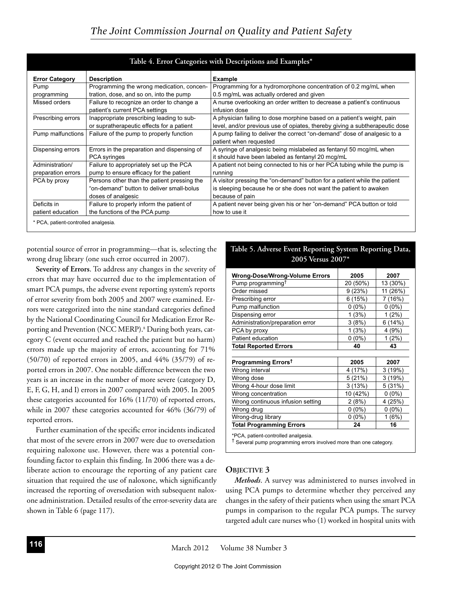| <b>Error Category</b> | <b>Description</b>                          | <b>Example</b>                                                              |
|-----------------------|---------------------------------------------|-----------------------------------------------------------------------------|
| Pump                  | Programming the wrong medication, concen-   | Programming for a hydromorphone concentration of 0.2 mg/mL when             |
| programming           | tration, dose, and so on, into the pump     | 0.5 mg/mL was actually ordered and given                                    |
| Missed orders         | Failure to recognize an order to change a   | A nurse overlooking an order written to decrease a patient's continuous     |
|                       | patient's current PCA settings              | infusion dose                                                               |
| Prescribing errors    | Inappropriate prescribing leading to sub-   | A physician failing to dose morphine based on a patient's weight, pain      |
|                       | or supratherapeutic effects for a patient   | level, and/or previous use of opiates, thereby giving a subtherapeutic dose |
| Pump malfunctions     | Failure of the pump to properly function    | A pump failing to deliver the correct "on-demand" dose of analgesic to a    |
|                       |                                             | patient when requested                                                      |
| Dispensing errors     | Errors in the preparation and dispensing of | A syringe of analgesic being mislabeled as fentanyl 50 mcg/mL when          |
|                       | <b>PCA</b> syringes                         | it should have been labeled as fentanyl 20 mcg/mL                           |
| Administration/       | Failure to appropriately set up the PCA     | A patient not being connected to his or her PCA tubing while the pump is    |
| preparation errors    | pump to ensure efficacy for the patient     | running                                                                     |
| PCA by proxy          | Persons other than the patient pressing the | A visitor pressing the "on-demand" button for a patient while the patient   |
|                       | "on-demand" button to deliver small-bolus   | is sleeping because he or she does not want the patient to awaken           |
|                       | doses of analgesic                          | because of pain                                                             |
| Deficits in           | Failure to properly inform the patient of   | A patient never being given his or her "on-demand" PCA button or told       |
| patient education     | the functions of the PCA pump               | how to use it                                                               |

potential source of error in programming-that is, selecting the wrong drug library (one such error occurred in 2007).

Severity of Errors. To address any changes in the severity of errors that may have occurred due to the implementation of smart PCA pumps, the adverse event reporting system's reports of error severity from both 2005 and 2007 were examined. Errors were categorized into the nine standard categories defined by the National Coordinating Council for Medication Error Reporting and Prevention (NCC MERP).<sup>8</sup> During both years, category C (event occurred and reached the patient but no harm) errors made up the majority of errors, accounting for 71% (50/70) of reported errors in 2005, and 44% (35/79) of reported errors in 2007. One notable difference between the two years is an increase in the number of more severe (category D, E, F, G, H, and I) errors in 2007 compared with 2005. In 2005 these categories accounted for 16% (11/70) of reported errors, while in 2007 these categories accounted for 46% (36/79) of reported errors.

Further examination of the specific error incidents indicated that most of the severe errors in 2007 were due to oversedation requiring naloxone use. However, there was a potential confounding factor to explain this finding. In 2006 there was a deliberate action to encourage the reporting of any patient care situation that required the use of naloxone, which significantly increased the reporting of oversedation with subsequent naloxone administration. Detailed results of the error-severity data are shown in Table 6 (page 117).

| <b>Wrong-Dose/Wrong-Volume Errors</b> | 2005     | 2007     |  |
|---------------------------------------|----------|----------|--|
| Pump programming <sup>†</sup>         | 20 (50%) | 13 (30%) |  |
| Order missed                          | 9(23%)   | 11 (26%) |  |
| Prescribing error                     | 6(15%)   | 7 (16%)  |  |
| Pump malfunction                      | $0(0\%)$ | $0(0\%)$ |  |
| Dispensing error                      | 1(3%)    | 1(2%)    |  |
| Administration/preparation error      | 3(8%)    | 6(14%)   |  |
| PCA by proxy                          | 1(3%)    | 4 (9%)   |  |
| Patient education                     | $0(0\%)$ | 1(2%)    |  |
| <b>Total Reported Errors</b>          | 40       | 43       |  |
|                                       |          |          |  |
| Programming Errors <sup>†</sup>       | 2005     | 2007     |  |
| Wrong interval                        | 4 (17%)  | 3 (19%)  |  |
| Wrong dose                            | 5(21%)   | 3(19%)   |  |
| Wrong 4-hour dose limit               | 3(13%)   | 5 (31%)  |  |
| Wrong concentration                   | 10 (42%) | $0(0\%)$ |  |
| Wrong continuous infusion setting     | 2(8%)    | 4 (25%)  |  |
| Wrong drug                            | $0(0\%)$ | $0(0\%)$ |  |
| Wrong-drug library                    | $0(0\%)$ | 1(6%)    |  |
| <b>Total Programming Errors</b>       | 24       | 16       |  |

Table 5. Adverse Event Reporting System Reporting Data,

2005 Versus 2007\*

#### Several pump programming errors involved more than one category

#### **OBJECTIVE 3**

Methods. A survey was administered to nurses involved in using PCA pumps to determine whether they perceived any changes in the safety of their patients when using the smart PCA pumps in comparison to the regular PCA pumps. The survey targeted adult care nurses who (1) worked in hospital units with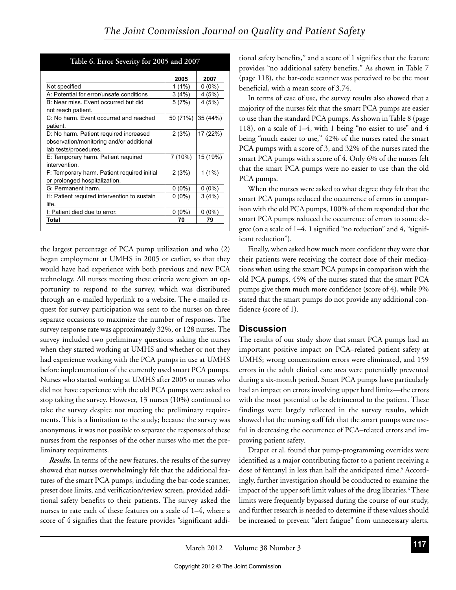|                                             | 2005     | 2007     |
|---------------------------------------------|----------|----------|
| Not specified                               | $1(1\%)$ | $0(0\%)$ |
| A: Potential for error/unsafe conditions    | 3(4%)    | 4 (5%)   |
| B: Near miss. Event occurred but did        | 5(7%)    | 4 (5%)   |
| not reach patient.                          |          |          |
| C: No harm. Event occurred and reached      | 50 (71%) | 35 (44%) |
| patient.                                    |          |          |
| D: No harm. Patient required increased      | 2(3%)    | 17 (22%) |
| observation/monitoring and/or additional    |          |          |
| lab tests/procedures.                       |          |          |
| E: Temporary harm. Patient required         | 7(10%)   | 15 (19%) |
| intervention.                               |          |          |
| F: Temporary harm. Patient required initial | 2(3%)    | $1(1\%)$ |
| or prolonged hospitalization.               |          |          |
| G: Permanent harm.                          | $0(0\%)$ | $0(0\%)$ |
| H: Patient required intervention to sustain | $0(0\%)$ | 3(4%)    |
| life.                                       |          |          |
| I: Patient died due to error.               | $0(0\%)$ | $0(0\%)$ |
| Total                                       | 70       | 79       |
|                                             |          |          |

Table 6. Error Severity for 2005 and 2007

the largest percentage of PCA pump utilization and who (2) began employment at UMHS in 2005 or earlier, so that they would have had experience with both previous and new PCA technology. All nurses meeting these criteria were given an opportunity to respond to the survey, which was distributed through an e-mailed hyperlink to a website. The e-mailed request for survey participation was sent to the nurses on three separate occasions to maximize the number of responses. The survey response rate was approximately 32%, or 128 nurses. The survey included two preliminary questions asking the nurses when they started working at UMHS and whether or not they had experience working with the PCA pumps in use at UMHS before implementation of the currently used smart PCA pumps. Nurses who started working at UMHS after 2005 or nurses who did not have experience with the old PCA pumps were asked to stop taking the survey. However, 13 nurses (10%) continued to take the survey despite not meeting the preliminary requirements. This is a limitation to the study; because the survey was anonymous, it was not possible to separate the responses of these nurses from the responses of the other nurses who met the preliminary requirements.

Results. In terms of the new features, the results of the survey showed that nurses overwhelmingly felt that the additional features of the smart PCA pumps, including the bar-code scanner, preset dose limits, and verification/review screen, provided additional safety benefits to their patients. The survey asked the nurses to rate each of these features on a scale of 1-4, where a score of 4 signifies that the feature provides "significant addi-

tional safety benefits," and a score of 1 signifies that the feature provides "no additional safety benefits." As shown in Table 7 (page 118), the bar-code scanner was perceived to be the most beneficial, with a mean score of 3.74.

In terms of ease of use, the survey results also showed that a majority of the nurses felt that the smart PCA pumps are easier to use than the standard PCA pumps. As shown in Table 8 (page 118), on a scale of 1–4, with 1 being "no easier to use" and 4 being "much easier to use," 42% of the nurses rated the smart PCA pumps with a score of 3, and 32% of the nurses rated the smart PCA pumps with a score of 4. Only 6% of the nurses felt that the smart PCA pumps were no easier to use than the old PCA pumps.

When the nurses were asked to what degree they felt that the smart PCA pumps reduced the occurrence of errors in comparison with the old PCA pumps, 100% of them responded that the smart PCA pumps reduced the occurrence of errors to some degree (on a scale of 1–4, 1 signified "no reduction" and 4, "significant reduction").

Finally, when asked how much more confident they were that their patients were receiving the correct dose of their medications when using the smart PCA pumps in comparison with the old PCA pumps, 45% of the nurses stated that the smart PCA pumps give them much more confidence (score of 4), while 9% stated that the smart pumps do not provide any additional confidence (score of 1).

## **Discussion**

The results of our study show that smart PCA pumps had an important positive impact on PCA-related patient safety at UMHS; wrong concentration errors were eliminated, and 159 errors in the adult clinical care area were potentially prevented during a six-month period. Smart PCA pumps have particularly had an impact on errors involving upper hard limits—the errors with the most potential to be detrimental to the patient. These findings were largely reflected in the survey results, which showed that the nursing staff felt that the smart pumps were useful in decreasing the occurrence of PCA-related errors and improving patient safety.

Draper et al. found that pump-programming overrides were identified as a major contributing factor to a patient receiving a dose of fentanyl in less than half the anticipated time.<sup>9</sup> Accordingly, further investigation should be conducted to examine the impact of the upper soft limit values of the drug libraries.<sup>6</sup> These limits were frequently bypassed during the course of our study, and further research is needed to determine if these values should be increased to prevent "alert fatigue" from unnecessary alerts.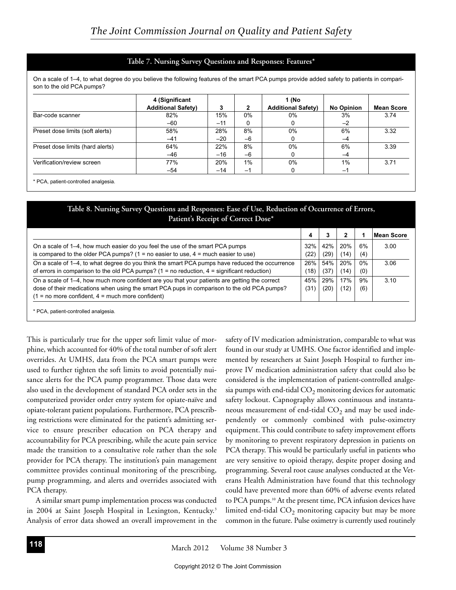#### Table 7. Nursing Survey Questions and Responses: Features\*

On a scale of 1-4, to what degree do you believe the following features of the smart PCA pumps provide added safety to patients in comparison to the old PCA pumps?

|                                  | 4 (Significant<br><b>Additional Safety)</b> | 3     | $\mathbf{2}$ | 1 (No<br><b>Additional Safety)</b> | <b>No Opinion</b> | <b>Mean Score</b> |
|----------------------------------|---------------------------------------------|-------|--------------|------------------------------------|-------------------|-------------------|
| Bar-code scanner                 | 82%                                         | 15%   | $0\%$        | 0%                                 | 3%                | 3.74              |
|                                  | $-60$                                       | $-11$ | 0            |                                    | $-2$              |                   |
| Preset dose limits (soft alerts) | 58%                                         | 28%   | 8%           | $0\%$                              | 6%                | 3.32              |
|                                  | $-41$                                       | $-20$ | $-6$         |                                    | $-4$              |                   |
| Preset dose limits (hard alerts) | 64%                                         | 22%   | 8%           | $0\%$                              | 6%                | 3.39              |
|                                  | -46                                         | $-16$ | $-6$         |                                    | $-4$              |                   |
| Verification/review screen       | 77%                                         | 20%   | $1\%$        | $0\%$                              | 1%                | 3.71              |
|                                  | -54                                         | $-14$ | $-1$         |                                    | $-1$              |                   |

\* PCA, patient-controlled analgesia.

### Table 8. Nursing Survey Questions and Responses: Ease of Use, Reduction of Occurrence of Errors, Patient's Receipt of Correct Dose\*

|                                                                                                 | 4    |      |      |       | <b>Mean Score</b> |
|-------------------------------------------------------------------------------------------------|------|------|------|-------|-------------------|
| On a scale of 1–4, how much easier do you feel the use of the smart PCA pumps                   | 32%  | 42%  | 20%  | 6%    | 3.00              |
| is compared to the older PCA pumps? $(1 = no$ easier to use, $4 = much$ easier to use)          | (22) | (29) | (14) | (4)   |                   |
| On a scale of 1–4, to what degree do you think the smart PCA pumps have reduced the occurrence  | 26%  | 54%  | 20%  | $0\%$ | 3.06              |
| of errors in comparison to the old PCA pumps? $(1 = no$ reduction, $4 =$ significant reduction) | (18) | (37) | (14) | (0)   |                   |
| On a scale of 1–4, how much more confident are you that your patients are getting the correct   | 45%  | 29%  | 17%  | 9%    | 3.10              |
| dose of their medications when using the smart PCA pups in comparison to the old PCA pumps?     | (31) | (20) | (12) | (6)   |                   |
| $(1 = no more confident, 4 = much more confident)$                                              |      |      |      |       |                   |
| * PCA, patient-controlled analgesia.                                                            |      |      |      |       |                   |

This is particularly true for the upper soft limit value of morphine, which accounted for 40% of the total number of soft alert overrides. At UMHS, data from the PCA smart pumps were used to further tighten the soft limits to avoid potentially nuisance alerts for the PCA pump programmer. Those data were also used in the development of standard PCA order sets in the computerized provider order entry system for opiate-naïve and opiate-tolerant patient populations. Furthermore, PCA prescribing restrictions were eliminated for the patient's admitting service to ensure prescriber education on PCA therapy and accountability for PCA prescribing, while the acute pain service made the transition to a consultative role rather than the sole provider for PCA therapy. The institution's pain management committee provides continual monitoring of the prescribing, pump programming, and alerts and overrides associated with PCA therapy.

A similar smart pump implementation process was conducted in 2004 at Saint Joseph Hospital in Lexington, Kentucky.<sup>3</sup> Analysis of error data showed an overall improvement in the

safety of IV medication administration, comparable to what was found in our study at UMHS. One factor identified and implemented by researchers at Saint Joseph Hospital to further improve IV medication administration safety that could also be considered is the implementation of patient-controlled analgesia pumps with end-tidal  $CO<sub>2</sub>$  monitoring devices for automatic safety lockout. Capnography allows continuous and instantaneous measurement of end-tidal  $CO<sub>2</sub>$  and may be used independently or commonly combined with pulse-oximetry equipment. This could contribute to safety improvement efforts by monitoring to prevent respiratory depression in patients on PCA therapy. This would be particularly useful in patients who are very sensitive to opioid therapy, despite proper dosing and programming. Several root cause analyses conducted at the Veterans Health Administration have found that this technology could have prevented more than 60% of adverse events related to PCA pumps.<sup>10</sup> At the present time, PCA infusion devices have limited end-tidal  $CO<sub>2</sub>$  monitoring capacity but may be more common in the future. Pulse oximetry is currently used routinely